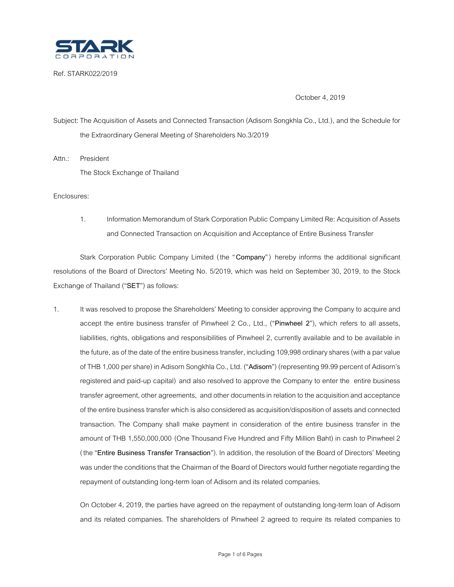

Ref. STARK022/2019

October 4, 2019

Subject: The Acquisition of Assets and Connected Transaction (Adisorn Songkhla Co., Ltd.), and the Schedule for the Extraordinary General Meeting of Shareholders No.3/2019

Attn.: President The Stock Exchange of Thailand

Enclosures:

1. Information Memorandum of Stark Corporation Public Company Limited Re: Acquisition of Assets and Connected Transaction on Acquisition and Acceptance of Entire Business Transfer

Stark Corporation Public Company Limited (the "**Company**" ) hereby informs the additional significant resolutions of the Board of Directors' Meeting No. 5/2019, which was held on September 30, 2019, to the Stock Exchange of Thailand ("**SET**") as follows:

1. It was resolved to propose the Shareholders' Meeting to consider approving the Company to acquire and accept the entire business transfer of Pinwheel 2 Co., Ltd., ("**Pinwheel 2**"), which refers to all assets, liabilities, rights, obligations and responsibilities of Pinwheel 2, currently available and to be available in the future, as of the date of the entire business transfer, including 109,998 ordinary shares (with a par value of THB 1,000 per share) in Adisorn Songkhla Co., Ltd. ("**Adisorn**") (representing 99.99 percent of Adisorn's registered and paid-up capital) and also resolved to approve the Company to enter the entire business transfer agreement, other agreements, and other documents in relation to the acquisition and acceptance of the entire business transfer which is also considered as acquisition/disposition of assets and connected transaction. The Company shall make payment in consideration of the entire business transfer in the amount of THB 1,550,000,000 (One Thousand Five Hundred and Fifty Million Baht) in cash to Pinwheel 2 (the "**Entire Business Transfer Transaction**"). In addition, the resolution of the Board of Directors' Meeting was under the conditions that the Chairman of the Board of Directors would further negotiate regarding the repayment of outstanding long-term loan of Adisorn and its related companies.

On October 4, 2019, the parties have agreed on the repayment of outstanding long-term loan of Adisorn and its related companies. The shareholders of Pinwheel 2 agreed to require its related companies to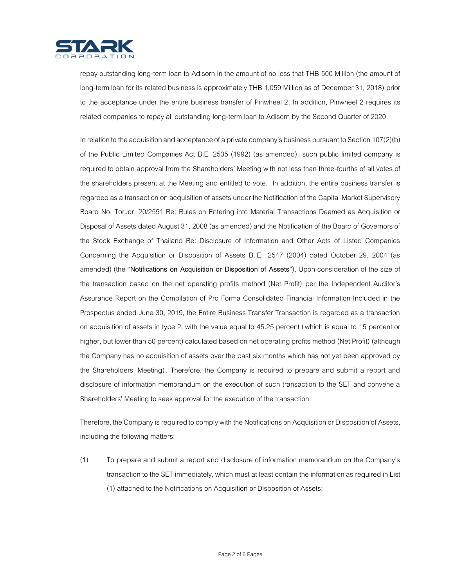

repay outstanding long-term loan to Adisorn in the amount of no less that THB 500 Million (the amount of long-term loan for its related business is approximately THB 1,059 Million as of December 31, 2018) prior to the acceptance under the entire business transfer of Pinwheel 2. In addition, Pinwheel 2 requires its related companies to repay all outstanding long-term loan to Adisorn by the Second Quarter of 2020.

In relation to the acquisition and acceptance of a private company's business pursuant to Section  $107(2)(b)$ of the Public Limited Companies Act B.E. 2535 (1992) (as amended), such public limited company is required to obtain approval from the Shareholders' Meeting with not less than three-fourths of all votes of the shareholders present at the Meeting and entitled to vote. In addition, the entire business transfer is regarded as a transaction on acquisition of assets under the Notification of the Capital Market Supervisory Board No. TorJor. 20/2551 Re: Rules on Entering into Material Transactions Deemed as Acquisition or Disposal of Assets dated August 31, 2008 (as amended) and the Notification of the Board of Governors of the Stock Exchange of Thailand Re: Disclosure of Information and Other Acts of Listed Companies Concerning the Acquisition or Disposition of Assets B. E. 2547 (2004) dated October 29, 2004 (as amended) (the "**Notifications on Acquisition or Disposition of Assets**"). Upon consideration of the size of the transaction based on the net operating profits method (Net Profit) per the Independent Auditor's Assurance Report on the Compilation of Pro Forma Consolidated Financial Information Included in the Prospectus ended June 30, 2019, the Entire Business Transfer Transaction is regarded as a transaction on acquisition of assets in type 2, with the value equal to 45.25 percent (which is equal to 15 percent or higher, but lower than 50 percent) calculated based on net operating profits method (Net Profit) (although the Company has no acquisition of assets over the past six months which has not yet been approved by the Shareholders' Meeting) . Therefore, the Company is required to prepare and submit a report and disclosure of information memorandum on the execution of such transaction to the SET and convene a Shareholders' Meeting to seek approval for the execution of the transaction.

Therefore, the Company is required to comply with the Notifications on Acquisition or Disposition of Assets, including the following matters:

(1) To prepare and submit a report and disclosure of information memorandum on the Company's transaction to the SET immediately, which must at least contain the information as required in List (1) attached to the Notifications on Acquisition or Disposition of Assets;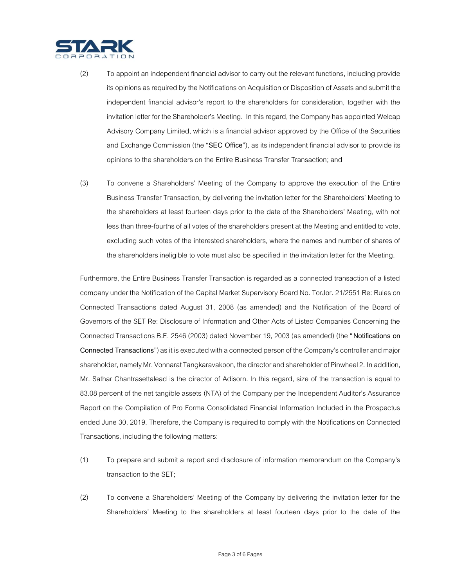

- (2) To appoint an independent financial advisor to carry out the relevant functions, including provide its opinions as required by the Notifications on Acquisition or Disposition of Assets and submit the independent financial advisor's report to the shareholders for consideration, together with the invitation letter for the Shareholder's Meeting. In this regard, the Company has appointed Welcap Advisory Company Limited, which is a financial advisor approved by the Office of the Securities and Exchange Commission(the "**SEC Office**"), as its independent financial advisor to provide its opinions to the shareholders on the Entire Business Transfer Transaction; and
- (3) To convene a Shareholders' Meeting of the Company to approve the execution of the Entire Business Transfer Transaction, by delivering the invitation letter for the Shareholders' Meeting to the shareholders at least fourteen days prior to the date of the Shareholders' Meeting, with not less than three-fourths of all votes of the shareholders present at the Meeting and entitled to vote, excluding such votes of the interested shareholders, where the names and number of shares of the shareholders ineligible to vote must also be specified in the invitation letter for the Meeting.

Furthermore, the Entire Business Transfer Transaction is regarded as a connected transaction of a listed company under the Notification of the Capital Market Supervisory Board No. TorJor. 21/2551 Re: Rules on Connected Transactions dated August 31, 2008 (as amended) and the Notification of the Board of Governors of the SET Re: Disclosure of Information and Other Acts of Listed Companies Concerning the Connected Transactions B.E. 2546(2003) dated November 19, 2003 (as amended) (the "**Notifications on Connected Transactions**") as it is executed with a connected person of the Company's controller and major shareholder, namely Mr. Vonnarat Tangkaravakoon, the director and shareholder of Pinwheel 2. In addition, Mr. Sathar Chantrasettalead is the director of Adisorn. In this regard, size of the transaction is equal to 83.08 percent of the net tangible assets (NTA) of the Company per the Independent Auditor's Assurance Report on the Compilation of Pro Forma Consolidated Financial Information Included in the Prospectus ended June 30, 2019. Therefore, the Company is required to comply with the Notifications on Connected Transactions, including the following matters:

- (1) To prepare and submit a report and disclosure of information memorandum on the Company's transaction to the SET;
- (2) To convene a Shareholders' Meeting of the Company by delivering the invitation letter for the Shareholders' Meeting to the shareholders at least fourteen days prior to the date of the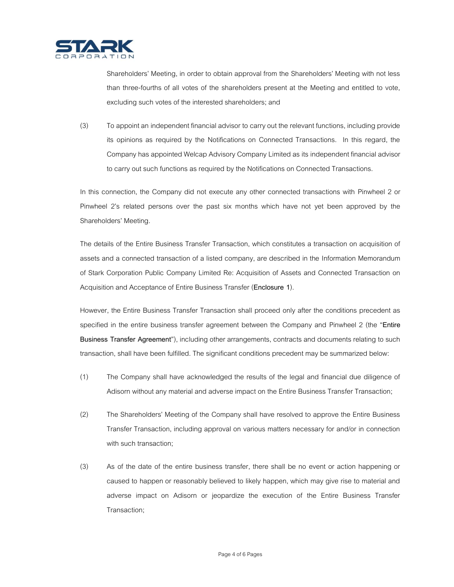

Shareholders' Meeting, in order to obtain approval from the Shareholders' Meeting with not less than three-fourths of all votes of the shareholders present at the Meeting and entitled to vote, excluding such votes of the interested shareholders; and

(3) To appoint an independent financial advisor to carry out the relevant functions, including provide its opinions as required by the Notifications on Connected Transactions. In this regard, the Company has appointed Welcap Advisory Company Limited as its independent financial advisor to carry out such functions as required by the Notifications on Connected Transactions.

In this connection, the Company did not execute any other connected transactions with Pinwheel 2 or Pinwheel 2's related persons over the past six months which have not yet been approved by the Shareholders' Meeting.

The details of the Entire Business Transfer Transaction, which constitutes a transaction on acquisition of assets and a connected transaction of a listed company, are described in the Information Memorandum of Stark Corporation Public Company Limited Re: Acquisition of Assets and Connected Transaction on Acquisition and Acceptance of Entire Business Transfer (**Enclosure 1**).

However, the Entire Business Transfer Transaction shall proceed only after the conditions precedent as specified in the entire business transfer agreement between the Company and Pinwheel 2 (the "**Entire Business Transfer Agreement**"), including other arrangements, contracts and documents relating to such transaction, shall have been fulfilled. The significant conditions precedent may be summarized below:

- (1) The Company shall have acknowledged the results of the legal and financial due diligence of Adisorn without any material and adverse impact on the Entire Business Transfer Transaction;
- (2) The Shareholders' Meeting of the Company shall have resolved to approve the Entire Business Transfer Transaction, including approval on various matters necessary for and/or in connection with such transaction;
- (3) As of the date of the entire business transfer, there shall be no event or action happening or caused to happen or reasonably believed to likely happen, which may give rise to material and adverse impact on Adisorn or jeopardize the execution of the Entire Business Transfer Transaction;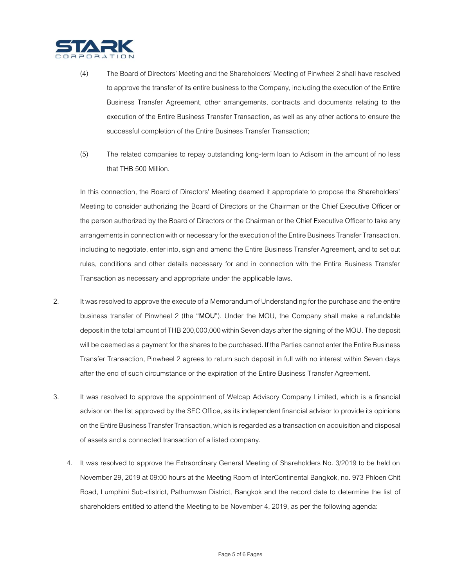

- (4) The Board of Directors' Meeting and the Shareholders' Meeting of Pinwheel 2 shall have resolved to approve the transfer of its entire business to the Company, including the execution of the Entire Business Transfer Agreement, other arrangements, contracts and documents relating to the execution of the Entire Business Transfer Transaction, as well as any other actions to ensure the successful completion of the Entire Business Transfer Transaction;
- (5) The related companies to repay outstanding long-term loan to Adisorn in the amount of no less that THB 500 Million.

In this connection, the Board of Directors' Meeting deemed it appropriate to propose the Shareholders' Meeting to consider authorizing the Board of Directors or the Chairman or the Chief Executive Officer or the person authorized by the Board of Directors or the Chairman or the Chief Executive Officer to take any arrangements in connection with or necessary for the execution of the Entire Business Transfer Transaction, including to negotiate, enter into, sign and amend the Entire Business Transfer Agreement, and to set out rules, conditions and other details necessary for and in connection with the Entire Business Transfer Transaction as necessary and appropriate under the applicable laws.

- 2. It was resolved to approve the execute of a Memorandum of Understanding for the purchase and the entire business transfer of Pinwheel 2 (the "**MOU**"). Under the MOU, the Company shall make a refundable deposit in the total amount of THB 200,000,000 within Seven days after the signing of the MOU. The deposit will be deemed as a payment for the shares to be purchased. If the Parties cannot enter the Entire Business Transfer Transaction, Pinwheel 2 agrees to return such deposit in full with no interest within Seven days after the end of such circumstance or the expiration of the Entire Business Transfer Agreement.
- 3. It was resolved to approve the appointment of Welcap Advisory Company Limited, which is a financial advisor on the list approved by the SEC Office, as its independent financial advisor to provide its opinions on the Entire Business Transfer Transaction, which is regarded as a transaction on acquisition and disposal of assets and a connected transaction of a listed company.
	- 4. It was resolved to approve the Extraordinary General Meeting of Shareholders No. 3/2019 to be held on November 29, 2019 at 09:00 hours at the Meeting Room of InterContinental Bangkok, no. 973 Phloen Chit Road, Lumphini Sub-district, Pathumwan District, Bangkok and the record date to determine the list of shareholders entitled to attend the Meeting to be November 4, 2019, as per the following agenda: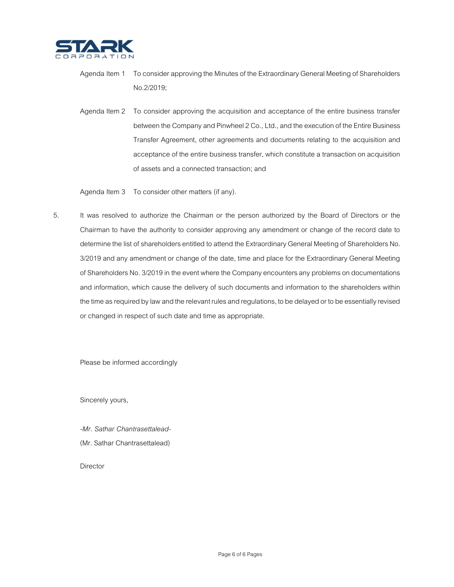

Agenda Item 1 To consider approving the Minutes of the Extraordinary General Meeting of Shareholders No.2/2019;

Agenda Item 2 To consider approving the acquisition and acceptance of the entire business transfer between the Company and Pinwheel 2 Co., Ltd., and the execution of the Entire Business Transfer Agreement, other agreements and documents relating to the acquisition and acceptance of the entire business transfer, which constitute a transaction on acquisition of assets and a connected transaction; and

Agenda Item 3 To consider other matters (if any).

5. It was resolved to authorize the Chairman or the person authorized by the Board of Directors or the Chairman to have the authority to consider approving any amendment or change of the record date to determine the list of shareholders entitled to attend the Extraordinary General Meeting of Shareholders No. 3/2019 and any amendment or change of the date, time and place for the Extraordinary General Meeting of Shareholders No. 3/2019 in the event where the Company encounters any problems on documentations and information, which cause the delivery of such documents and information to the shareholders within the time as required by law and the relevant rules and regulations, to be delayed or to be essentially revised or changed in respect of such date and time as appropriate.

Please be informed accordingly

Sincerely yours,

*-Mr. Sathar Chantrasettalead-* (Mr. Sathar Chantrasettalead)

Director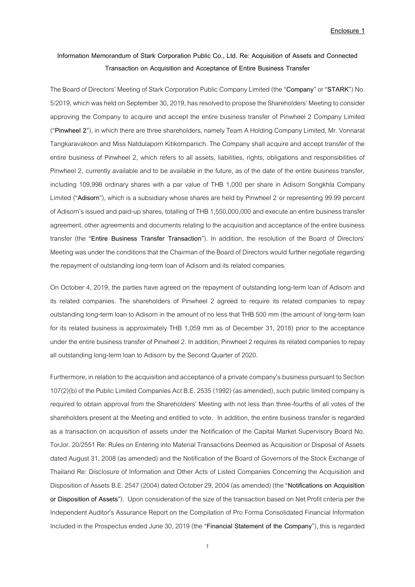# **Information Memorandum of Stark Corporation Public Co., Ltd. Re: Acquisition of Assets and Connected Transaction on Acquisition and Acceptance of Entire Business Transfer**

The Board of Directors' Meeting of Stark Corporation Public Company Limited (the "**Company**"or "**STARK**") No. 5/2019, which was held on September 30, 2019, has resolved to propose the Shareholders' Meeting to consider approving the Company to acquire and accept the entire business transfer of Pinwheel 2 Company Limited ("Pinwheel 2"), in which there are three shareholders, namely Team A Holding Company Limited, Mr. Vonnarat Tangkaravakoon and Miss Natdulaporn Kitikornpanich. The Company shall acquire and accept transfer of the entire business of Pinwheel 2, which refers to all assets, liabilities, rights, obligations and responsibilities of Pinwheel 2, currently available and to be available in the future, as of the date of the entire business transfer, including 109,998 ordinary shares with a par value of THB 1,000 per share in Adisorn Songkhla Company Limited ("**Adisorn**"), which is a subsidiary whose shares are held by Pinwheel 2 or representing 99.99 percent of Adisorn's issued and paid-up shares, totalling of THB 1,550,000,000and execute an entire business transfer agreement, other agreements and documents relating to the acquisition and acceptance of the entire business transfer (the "**Entire Business Transfer Transaction**"). In addition, the resolution of the Board of Directors' Meeting was under the conditions that the Chairman of the Board of Directors would further negotiate regarding the repayment of outstanding long-term loan of Adisorn and its related companies.

On October 4, 2019, the parties have agreed on the repayment of outstanding long-term loan of Adisorn and its related companies. The shareholders of Pinwheel 2 agreed to require its related companies to repay outstanding long-term loan to Adisorn in the amount of no less that THB 500 mm (the amount of long-term loan for its related business is approximately THB 1,059 mm as of December 31, 2018) prior to the acceptance under the entire business transfer of Pinwheel 2. In addition, Pinwheel 2 requires its related companies to repay all outstanding long-term loan to Adisorn by the Second Quarter of 2020.

Furthermore, in relation to the acquisition and acceptance of a private company's business pursuant to Section 107(2)(b) of the Public Limited Companies Act B.E. 2535 (1992) (as amended), such public limited company is required to obtain approval from the Shareholders' Meeting with not less than three-fourths of all votes of the shareholders present at the Meeting and entitled to vote. In addition, the entire business transfer is regarded as a transaction on acquisition of assets under the Notification of the Capital Market Supervisory Board No. TorJor. 20/2551 Re: Rules on Entering into Material Transactions Deemed as Acquisition or Disposal of Assets dated August 31,2008(as amended) and the Notification of the Board of Governors of the Stock Exchange of Thailand Re: Disclosure of Information and Other Acts of Listed Companies Concerning the Acquisition and Disposition of Assets B.E. 2547(2004) dated October 29, 2004(as amended) (the "**Notifications on Acquisition or Disposition of Assets**"). Upon consideration of the size of the transaction based on Net Profit criteria per the Independent Auditor's Assurance Report on the Compilation of Pro Forma Consolidated Financial Information Included in the Prospectus ended June 30, 2019(the "**Financial Statement of the Company**"), this is regarded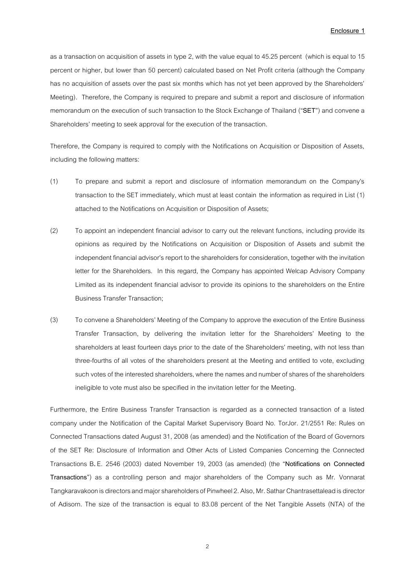as a transaction on acquisition of assets in type 2, with the value equal to 45.25 percent (which is equal to 15 percent or higher, but lower than 50 percent) calculated based on Net Profit criteria (although the Company has no acquisition of assets over the past six months which has not yet been approved by the Shareholders' Meeting). Therefore, the Company is required to prepare and submit a report and disclosure of information memorandum on the execution of such transaction to the Stock Exchange of Thailand ("**SET**") and convene a Shareholders' meeting to seek approval for the execution of the transaction.

Therefore, the Company is required to comply with the Notifications on Acquisition or Disposition of Assets, including the following matters:

- (1) To prepare and submit a report and disclosure of information memorandum on the Company's transaction to the SET immediately, which must at least contain the information as required in List (1) attached to the Notifications on Acquisition or Disposition of Assets;
- (2) To appoint an independent financial advisor to carry out the relevant functions, including provide its opinions as required by the Notifications on Acquisition or Disposition of Assets and submit the independent financial advisor's report to the shareholders for consideration, together with the invitation letter for the Shareholders. In this regard, the Company has appointed Welcap Advisory Company Limited as its independent financial advisor to provide its opinions to the shareholders on the Entire Business Transfer Transaction;
- (3) To convene a Shareholders' Meeting of the Company to approve the execution of the Entire Business Transfer Transaction, by delivering the invitation letter for the Shareholders' Meeting to the shareholders at least fourteen days prior to the date of the Shareholders' meeting, with not less than three-fourths of all votes of the shareholders present at the Meeting and entitled to vote, excluding such votes of the interested shareholders, where the names and number of shares of the shareholders ineligible to vote must also be specified in the invitation letter for the Meeting.

Furthermore, the Entire Business Transfer Transaction is regarded as a connected transaction of a listed company under the Notification of the Capital Market Supervisory Board No. TorJor. 21/2551 Re: Rules on Connected Transactions dated August 31, 2008 (as amended) and the Notification of the Board of Governors of the SET Re: Disclosure of Information and Other Acts of Listed Companies Concerning the Connected Transactions B. E. 2546 (2003) dated November 19, 2003 (as amended) (the "**Notifications on Connected Transactions**") as a controlling person and major shareholders of the Company such as Mr. Vonnarat Tangkaravakoon is directors and major shareholders of Pinwheel 2. Also, Mr. Sathar Chantrasettalead is director of Adisorn. The size of the transaction is equal to 83.08 percent of the Net Tangible Assets (NTA) of the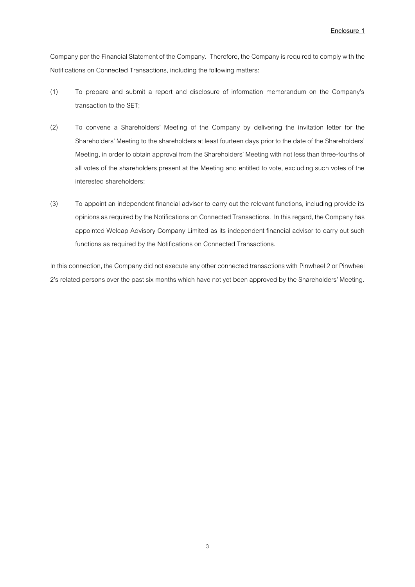Company per the Financial Statement of the Company. Therefore, the Company is required to comply with the Notifications on Connected Transactions, including the following matters:

- (1) To prepare and submit a report and disclosure of information memorandum on the Company's transaction to the SET;
- (2) To convene a Shareholders' Meeting of the Company by delivering the invitation letter for the Shareholders' Meeting to the shareholders at least fourteen days prior to the date of the Shareholders' Meeting, in order to obtain approval from the Shareholders' Meeting with not less than three-fourths of all votes of the shareholders present at the Meeting and entitled to vote, excluding such votes of the interested shareholders;
- (3) To appoint an independent financial advisor to carry out the relevant functions, including provide its opinions as required by the Notifications on Connected Transactions. In this regard, the Company has appointed Welcap Advisory Company Limited as its independent financial advisor to carry out such functions as required by the Notifications on Connected Transactions.

In this connection, the Company did not execute any other connected transactions with Pinwheel 2 or Pinwheel 2's related persons over the past six months which have not yet been approved by the Shareholders' Meeting.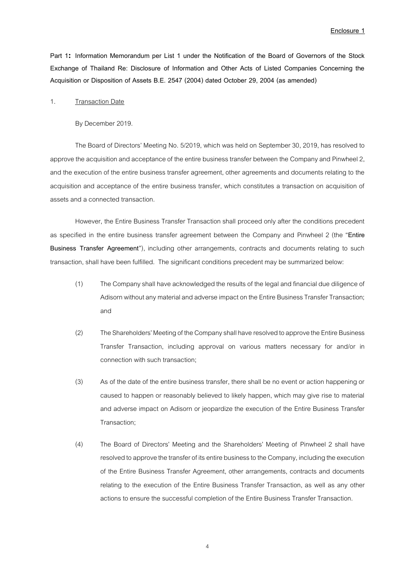**Part 1: Information Memorandum per List 1 under the Notification of the Board of Governors of the Stock Exchange of Thailand Re: Disclosure of Information and Other Acts of Listed Companies Concerning the Acquisition or Disposition of Assets B.E. 2547 (2004) dated October 29, 2004 (as amended)**

#### 1. Transaction Date

By December 2019.

The Board of Directors' Meeting No. 5/2019, which was held on September 30, 2019, has resolved to approve the acquisition and acceptance of the entire business transfer between the Company and Pinwheel 2, and the execution of the entire business transfer agreement, other agreements and documents relating to the acquisition and acceptance of the entire business transfer, which constitutes a transaction on acquisition of assets and a connected transaction.

However, the Entire Business Transfer Transaction shall proceed only after the conditions precedent as specified in the entire business transfer agreement between the Company and Pinwheel 2 (the "**Entire Business Transfer Agreement**"), including other arrangements, contracts and documents relating to such transaction, shall have been fulfilled. The significant conditions precedent may be summarized below:

- (1) The Company shall have acknowledged the results of the legal and financial due diligence of Adisorn without any material and adverse impact on the Entire Business Transfer Transaction; and
- (2) The Shareholders' Meeting of the Company shall have resolved to approve the Entire Business Transfer Transaction, including approval on various matters necessary for and/or in connection with such transaction;
- (3) As of the date of the entire business transfer, there shall be no event or action happening or caused to happen or reasonably believed to likely happen, which may give rise to material and adverse impact on Adisorn or jeopardize the execution of the Entire Business Transfer Transaction;
- (4) The Board of Directors' Meeting and the Shareholders' Meeting of Pinwheel 2 shall have resolved to approve the transfer of its entire business to the Company, including the execution of the Entire Business Transfer Agreement, other arrangements, contracts and documents relating to the execution of the Entire Business Transfer Transaction, as well as any other actions to ensure the successful completion of the Entire Business Transfer Transaction.

4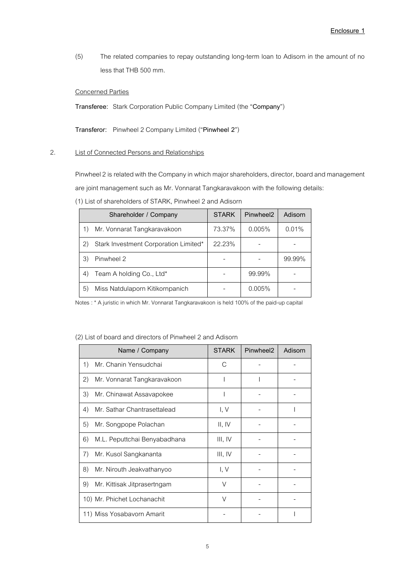(5) The related companies to repay outstanding long-term loan to Adisorn in the amount of no less that THB 500 mm.

# Concerned Parties

**Transferee:** Stark Corporation Public Company Limited (the "**Company**")

**Transferor:** Pinwheel 2 Company Limited ("**Pinwheel 2**")

# 2. List of Connected Persons and Relationships

Pinwheel 2 is related with the Company in which major shareholders, director, board and management

are joint management such as Mr. Vonnarat Tangkaravakoon with the following details:

(1) List of shareholders of STARK, Pinwheel 2 and Adisorn

|    | Shareholder / Company                 | <b>STARK</b> | Pinwheel <sub>2</sub> | Adisorn |
|----|---------------------------------------|--------------|-----------------------|---------|
|    | Mr. Vonnarat Tangkaravakoon           | 73.37%       | 0.005%                | 0.01%   |
| 2) | Stark Investment Corporation Limited* | 22.23%       |                       |         |
| 3) | Pinwheel 2                            |              |                       | 99.99%  |
| 4) | Team A holding Co., Ltd*              |              | 99.99%                |         |
| 5) | Miss Natdulaporn Kitikornpanich       |              | 0.005%                |         |

Notes : \* A juristic in which Mr. Vonnarat Tangkaravakoon isheld 100% of the paid-up capital

#### (2) List of board and directors of Pinwheel 2 and Adisorn

|    | Name / Company               | <b>STARK</b> | Pinwheel2 | Adisorn |
|----|------------------------------|--------------|-----------|---------|
| 1) | Mr. Chanin Yensudchai        | C            |           |         |
| 2) | Mr. Vonnarat Tangkaravakoon  |              |           |         |
| 3) | Mr. Chinawat Assavapokee     |              |           |         |
| 4) | Mr. Sathar Chantrasettalead  | I, V         |           |         |
| 5) | Mr. Songpope Polachan        | II, IV       |           |         |
| 6) | M.L. Peputtchai Benyabadhana | III, IV      |           |         |
| 7) | Mr. Kusol Sangkananta        | III, IV      |           |         |
| 8) | Mr. Nirouth Jeakvathanyoo    | I, V         |           |         |
| 9) | Mr. Kittisak Jitprasertngam  | V            |           |         |
|    | 10) Mr. Phichet Lochanachit  | $\vee$       |           |         |
|    | 11) Miss Yosabavorn Amarit   |              |           |         |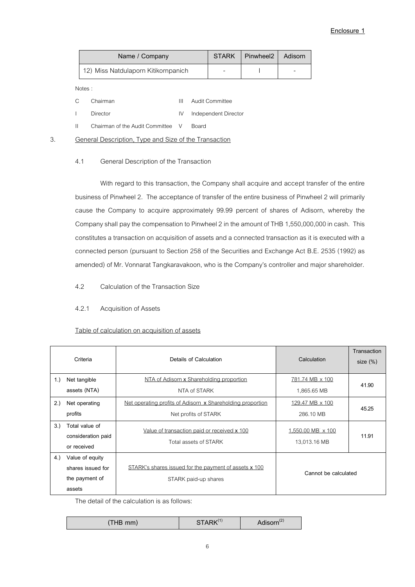| Name / Company                      |                          | STARK   Pinwheel2   Adisorn |   |
|-------------------------------------|--------------------------|-----------------------------|---|
| 12) Miss Natdulaporn Kitikornpanich | $\overline{\phantom{a}}$ |                             | - |

Notes :

| $C_{\alpha}$ | Chairman                                | $\mathbf{H}$ | Audit Committee         |
|--------------|-----------------------------------------|--------------|-------------------------|
| $\mathbf{L}$ | Director                                |              | IV Independent Director |
| $\mathbf{H}$ | Chairman of the Audit Committee V Board |              |                         |

#### 3. General Description, Type and Size of the Transaction

#### 4.1 General Description of the Transaction

With regard to this transaction, the Company shall acquire and accept transfer of the entire business of Pinwheel 2. The acceptance of transfer of the entire business of Pinwheel 2 will primarily cause the Company to acquire approximately 99.99 percent of shares of Adisorn, whereby the Company shall pay the compensation to Pinwheel 2 in the amount of THB 1,550,000,000 in cash. This constitutes a transaction on acquisition of assets and a connected transaction as it is executed with a connected person (pursuant to Section 258 of the Securities and Exchange Act B.E. 2535 (1992) as amended) of Mr. Vonnarat Tangkaravakoon, who is the Company's controller and major shareholder.

4.2 Calculation of the Transaction Size

### 4.2.1 Acquisition of Assets

#### Table of calculation on acquisition of assets

|     | Criteria                                                         | Details of Calculation                                                             | Calculation                       | Transaction<br>size $(\%)$ |
|-----|------------------------------------------------------------------|------------------------------------------------------------------------------------|-----------------------------------|----------------------------|
| 1.  | Net tangible<br>assets (NTA)                                     | NTA of Adisorn x Shareholding proportion<br>NTA of STARK                           | 781.74 MB x 100<br>1,865.65 MB    | 41.90                      |
| 2.) | Net operating<br>profits                                         | Net operating profits of Adisorn x Shareholding proportion<br>Net profits of STARK | 129.47 MB x 100<br>286.10 MB      | 45.25                      |
| 3)  | Total value of<br>consideration paid<br>or received              | Value of transaction paid or received x 100<br>Total assets of STARK               | 1,550.00 MB x 100<br>13,013.16 MB | 11.91                      |
| 4.) | Value of equity<br>shares issued for<br>the payment of<br>assets | STARK's shares issued for the payment of assets x 100<br>STARK paid-up shares      | Cannot be calculated              |                            |

The detail of the calculation is as follows:

| THB mm) | STARK <sup>(1)</sup> | Adisorn <sup>(2)</sup> |
|---------|----------------------|------------------------|
|---------|----------------------|------------------------|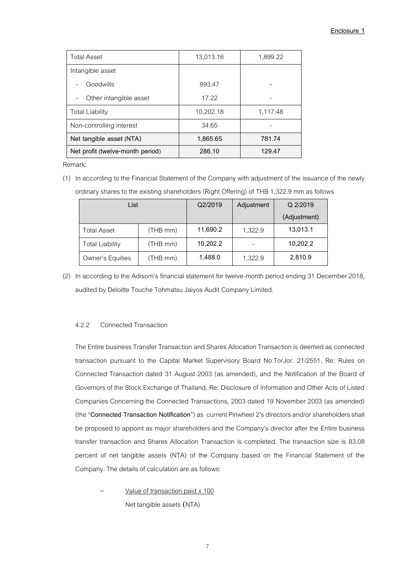| <b>Total Asset</b>               | 13,013.16 | 1,899.22 |
|----------------------------------|-----------|----------|
| Intangible asset                 |           |          |
| Goodwills                        | 893.47    |          |
| Other intangible asset           | 17.22     |          |
| <b>Total Liability</b>           | 10,202.18 | 1,117.48 |
| Non-controlling interest         | 34.65     |          |
| Net tangible asset (NTA)         | 1,865.65  | 781.74   |
| Net profit (twelve-month period) | 286.10    | 129.47   |

Remark:

(1) In according to the Financial Statement of the Company with adjustment of the issuance of the newly ordinary shares to the existing shareholders (Right Offering) of THB 1,322.9 mm as follows

| List               |          | Q2/2019  | Adjustment | Q 2/2019     |
|--------------------|----------|----------|------------|--------------|
|                    |          |          |            | (Adjustment) |
| <b>Total Asset</b> | (THB mm) | 11,690.2 | 1,322.9    | 13,013.1     |
| Total Liability    | (THB mm) | 10,202.2 |            | 10,202.2     |
| Owner's Equities   | (THB mm) | 1,488.0  | 1,322.9    | 2,810.9      |

(2) In according to the Adisorn's financial statement for twelve-month period ending 31 December 2018, audited by Deloitte Touche Tohmatsu Jaiyos Audit Company Limited.

### 4.2.2 Connected Transaction

The Entire business Transfer Transaction and Shares Allocation Transaction is deemed as connected transaction pursuant to the Capital Market Supervisory Board No.TorJor. 21/2551, Re: Rules on Connected Transaction dated 31 August 2003 (as amended), and the Notification of the Board of Governors of the Stock Exchange of Thailand, Re: Disclosure of Information and Other Acts of Listed Companies Concerning the Connected Transactions, 2003 dated 19 November 2003 (as amended) (the "**Connected Transaction Notification**") as current Pinwheel 2's directors and/or shareholders shall be proposed to appoint as major shareholders and the Company's director after the Entire business transfer transaction and Shares Allocation Transaction is completed. The transaction size is 83.08 percent of net tangible assets (NTA) of the Company based on the Financial Statement of the Company. The details of calculation are as follows:

= Value of transaction paid x 100 Net tangible assets (NTA)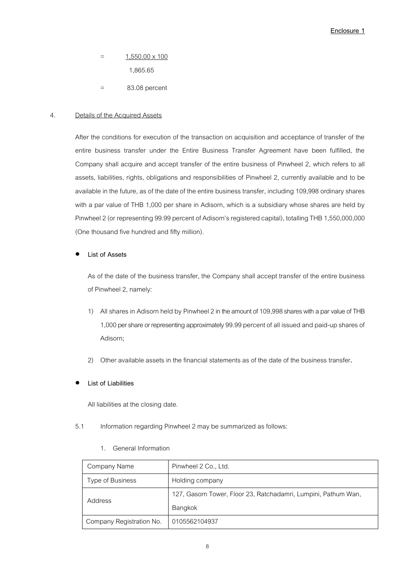$=$  1,550.00  $\times$  100

1,865.65

= 83.08 percent

# 4. Details of the Acquired Assets

After the conditions for execution of the transaction on acquisition and acceptance of transfer of the entire business transfer under the Entire Business Transfer Agreement have been fulfilled, the Company shall acquire and accept transfer of the entire business of Pinwheel 2, which refers to all assets, liabilities, rights, obligations and responsibilities of Pinwheel 2, currently available and to be available in the future, as of the date of the entire business transfer, including 109,998 ordinary shares with a par value of THB 1,000 per share in Adisorn, which is a subsidiary whose shares are held by Pinwheel 2(or representing 99.99 percent of Adisorn's registered capital), totalling THB 1,550,000,000 (One thousand five hundred and fifty million).

# **List of Assets**

As of the date of the business transfer, the Company shall accept transfer of the entire business of Pinwheel 2, namely:

- 1) All shares in Adisorn held by Pinwheel 2in the amount of 109,998shares with a par value of THB 1,000 per share or representing approximately 99.99 percent of all issued and paid-up shares of Adisorn;
- 2) Other available assets in the financial statements as of the date of the business transfer.
- **List of Liabilities**

All liabilities at the closing date.

5.1 Information regarding Pinwheel 2 may be summarized as follows:

# 1. General Information

| Company Name             | Pinwheel 2 Co., Ltd.                                           |
|--------------------------|----------------------------------------------------------------|
| Type of Business         | Holding company                                                |
| Address                  | 127, Gasorn Tower, Floor 23, Ratchadamri, Lumpini, Pathum Wan, |
|                          | Bangkok                                                        |
| Company Registration No. | 0105562104937                                                  |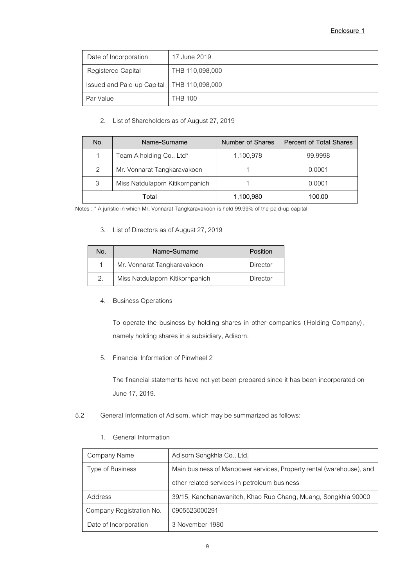| Date of Incorporation                        | 17 June 2019    |
|----------------------------------------------|-----------------|
| <b>Registered Capital</b>                    | THB 110,098,000 |
| Issued and Paid-up Capital   THB 110,098,000 |                 |
| Par Value                                    | <b>THB 100</b>  |

# 2. List of Shareholders as of August 27, 2019

| No.   | Name-Surname                    | Number of Shares | <b>Percent of Total Shares</b> |
|-------|---------------------------------|------------------|--------------------------------|
|       | Team A holding Co., Ltd*        | 1,100,978        | 99.9998                        |
| 2     | Mr. Vonnarat Tangkaravakoon     |                  | 0.0001                         |
| 3     | Miss Natdulaporn Kitikornpanich |                  | 0.0001                         |
| Total |                                 | 1,100,980        | 100.00                         |

Notes : \* A juristic in which Mr. Vonnarat Tangkaravakoon isheld 99.99% of the paid-up capital

# 3. List of Directors as of August 27, 2019

| No. | Name-Surname                    | Position |
|-----|---------------------------------|----------|
|     | Mr. Vonnarat Tangkaravakoon     | Director |
| 2.  | Miss Natdulaporn Kitikornpanich | Director |

# 4. Business Operations

To operate the business by holding shares in other companies (Holding Company), namely holding shares in a subsidiary, Adisorn.

5. Financial Information of Pinwheel 2

The financial statements have not yet been prepared since it has been incorporated on June 17, 2019.

# 5.2 General Information of Adisorn, which may be summarized as follows:

# 1. General Information

| Company Name             | Adisorn Songkhla Co., Ltd.                                           |
|--------------------------|----------------------------------------------------------------------|
| Type of Business         | Main business of Manpower services, Property rental (warehouse), and |
|                          | other related services in petroleum business                         |
| Address                  | 39/15, Kanchanawanitch, Khao Rup Chang, Muang, Songkhla 90000        |
| Company Registration No. | 0905523000291                                                        |
| Date of Incorporation    | 3 November 1980                                                      |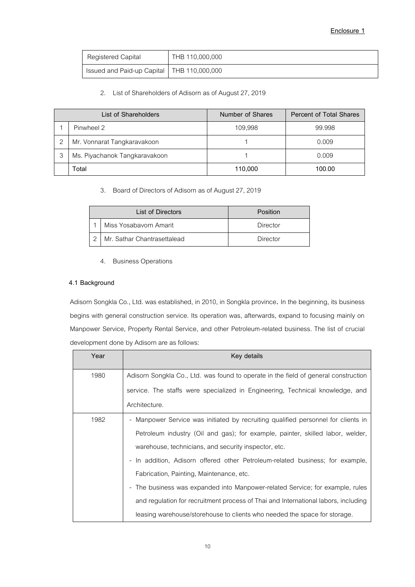| Registered Capital                           | THB 110,000,000 |
|----------------------------------------------|-----------------|
| Issued and Paid-up Capital   THB 110,000,000 |                 |

# 2. List of Shareholders of Adisorn as of August 27, 2019

| List of Shareholders          | Number of Shares | <b>Percent of Total Shares</b> |
|-------------------------------|------------------|--------------------------------|
| Pinwheel 2                    | 109,998          | 99.998                         |
| Mr. Vonnarat Tangkaravakoon   |                  | 0.009                          |
| Ms. Piyachanok Tangkaravakoon |                  | 0.009                          |
| Total                         | 110,000          | 100.00                         |

3. Board of Directors of Adisorn as of August 27, 2019

| <b>List of Directors</b>    | Position |
|-----------------------------|----------|
| Miss Yosabayorn Amarit      | Director |
| Mr. Sathar Chantrasettalead | Director |

4. Business Operations

# **4.1 Background**

Adisorn Songkla Co., Ltd. was established, in 2010, in Songkla province. In the beginning, its business begins with general construction service. Its operation was, afterwards, expand to focusing mainly on Manpower Service, Property Rental Service, and other Petroleum-related business. The list of crucial development done by Adisorn are as follows:

| Year | Key details                                                                         |
|------|-------------------------------------------------------------------------------------|
| 1980 | Adisorn Songkla Co., Ltd. was found to operate in the field of general construction |
|      | service. The staffs were specialized in Engineering, Technical knowledge, and       |
|      | Architecture.                                                                       |
| 1982 | - Manpower Service was initiated by recruiting qualified personnel for clients in   |
|      | Petroleum industry (Oil and gas); for example, painter, skilled labor, welder,      |
|      | warehouse, technicians, and security inspector, etc.                                |
|      | - In addition, Adisorn offered other Petroleum-related business; for example,       |
|      | Fabrication, Painting, Maintenance, etc.                                            |
|      | - The business was expanded into Manpower-related Service; for example, rules       |
|      | and regulation for recruitment process of Thai and International labors, including  |
|      | leasing warehouse/storehouse to clients who needed the space for storage.           |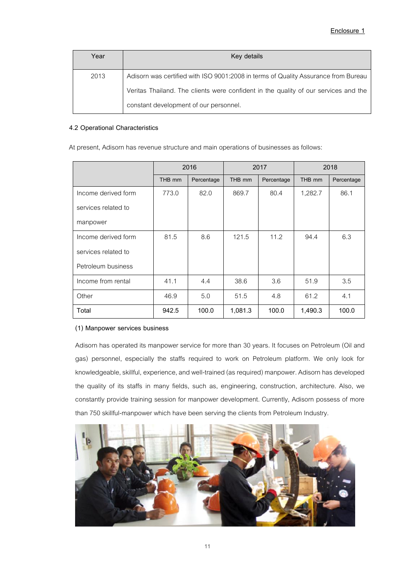| Year | Key details                                                                         |
|------|-------------------------------------------------------------------------------------|
| 2013 | Adisorn was certified with ISO 9001:2008 in terms of Quality Assurance from Bureau  |
|      | Veritas Thailand. The clients were confident in the quality of our services and the |
|      | constant development of our personnel.                                              |

### **4.2 Operational Characteristics**

At present, Adisorn has revenue structure and main operations of businesses as follows:

|                     |        | 2016       | 2017    |            | 2018    |            |
|---------------------|--------|------------|---------|------------|---------|------------|
|                     | THB mm | Percentage | THB mm  | Percentage | THB mm  | Percentage |
| Income derived form | 773.0  | 82.0       | 869.7   | 80.4       | 1,282.7 | 86.1       |
| services related to |        |            |         |            |         |            |
| manpower            |        |            |         |            |         |            |
| Income derived form | 81.5   | 8.6        | 121.5   | 11.2       | 94.4    | 6.3        |
| services related to |        |            |         |            |         |            |
| Petroleum business  |        |            |         |            |         |            |
| Income from rental  | 41.1   | 4.4        | 38.6    | 3.6        | 51.9    | 3.5        |
| Other               | 46.9   | 5.0        | 51.5    | 4.8        | 61.2    | 4.1        |
| Total               | 942.5  | 100.0      | 1,081.3 | 100.0      | 1,490.3 | 100.0      |

# **(1) Manpower services business**

Adisorn has operated its manpower service for more than 30 years. It focuses on Petroleum (Oil and gas) personnel, especially the staffs required to work on Petroleum platform. We only look for knowledgeable, skillful, experience, and well-trained (as required) manpower. Adisorn has developed the quality of its staffs in many fields, such as, engineering, construction, architecture. Also, we constantly provide training session for manpower development. Currently, Adisorn possess of more than 750 skillful-manpower which have been serving the clients from Petroleum Industry.

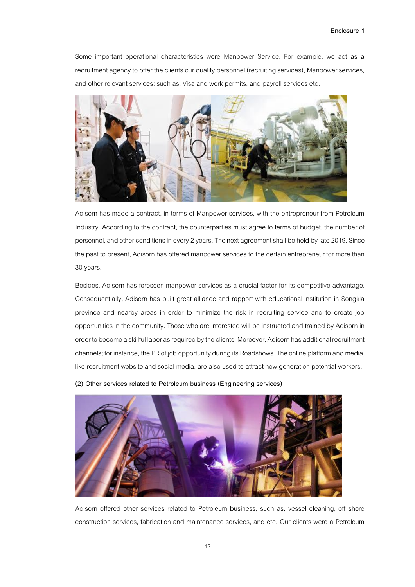#### **Enclosure 1**

Some important operational characteristics were Manpower Service. For example, we act as a recruitment agency to offer the clients our quality personnel (recruiting services), Manpower services, and other relevant services; such as, Visa and work permits, and payroll services etc.



Adisorn has made a contract, in terms of Manpower services, with the entrepreneur from Petroleum Industry. According to the contract, the counterparties must agree to terms of budget, the number of personnel, and other conditions in every 2years. The next agreement shall be held by late 2019. Since the past to present, Adisorn has offered manpower services to the certain entrepreneur for more than 30 years.

Besides, Adisorn has foreseen manpower services as a crucial factor for its competitive advantage. Consequentially, Adisorn has built great alliance and rapport with educational institution in Songkla province and nearby areas in order to minimize the risk in recruiting service and to create job opportunities in the community. Those who are interested will be instructed and trained by Adisorn in order to become a skillful labor as required by the clients. Moreover, Adisorn has additional recruitment channels; for instance, the PR of job opportunity during its Roadshows. The online platform and media, like recruitment website and social media, are also used to attract new generation potential workers.

**(2) Other services related to Petroleum business (Engineering services)**



Adisorn offered other services related to Petroleum business, such as, vessel cleaning, off shore construction services, fabrication and maintenance services, and etc. Our clients were a Petroleum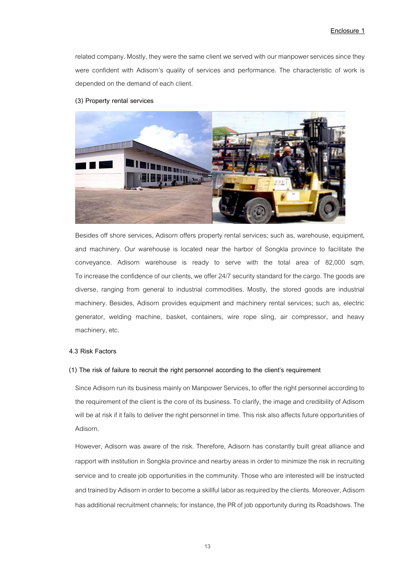related company. Mostly, they were the same client we served with our manpower services since they were confident with Adisorn's quality of services and performance. The characteristic of work is depended on the demand of each client.

#### **(3) Property rental services**



Besides off shore services, Adisorn offers property rental services; such as, warehouse, equipment, and machinery. Our warehouse is located near the harbor of Songkla province to facilitate the conveyance. Adisorn warehouse is ready to serve with the total area of 82,000 sqm. To increase the confidence of our clients, we offer 24/7 security standard for the cargo. The goods are diverse, ranging from general to industrial commodities. Mostly, the stored goods are industrial machinery. Besides, Adisorn provides equipment and machinery rental services; such as, electric generator, welding machine, basket, containers, wire rope sling, air compressor, and heavy machinery, etc.

#### **4.3 Risk Factors**

#### **(1) The risk of failure to recruit the right personnel according to the client's requirement**

Since Adisorn run its business mainly on Manpower Services, to offer the right personnel according to the requirement of the client is the core of its business. To clarify, the image and credibility of Adisorn will be at risk if it fails to deliver the right personnel in time. This risk also affects future opportunities of Adisorn.

However, Adisorn was aware of the risk. Therefore, Adisorn has constantly built great alliance and rapport with institution in Songkla province and nearby areas in order to minimize the risk in recruiting service and to create job opportunities in the community. Those who are interested will be instructed and trained by Adisorn in order to become a skillful labor as required by the clients. Moreover, Adisorn has additional recruitment channels; for instance, the PR of job opportunity during its Roadshows. The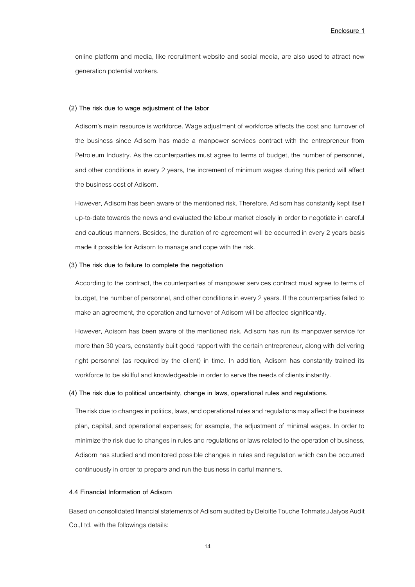online platform and media, like recruitment website and social media, are also used to attract new generation potential workers.

#### **(2) The risk due to wage adjustment of the labor**

Adisorn's main resource is workforce. Wage adjustment of workforce affects the cost and turnover of the business since Adisorn has made a manpower services contract with the entrepreneur from Petroleum Industry. As the counterparties must agree to terms of budget, the number of personnel, and other conditions in every 2 years, the increment of minimum wages during this period will affect the business cost of Adisorn.

However, Adisorn has been aware of the mentioned risk. Therefore, Adisorn has constantly kept itself up-to-date towards the news and evaluated the labour market closely in order to negotiate in careful and cautious manners. Besides, the duration of re-agreement will be occurred in every 2 years basis made it possible for Adisorn to manage and cope with the risk.

#### **(3) The risk due to failure to complete the negotiation**

According to the contract, the counterparties of manpower services contract must agree to terms of budget, the number of personnel, and other conditions in every 2 years. If the counterparties failed to make an agreement, the operation and turnover of Adisorn will be affected significantly.

However, Adisorn has been aware of the mentioned risk. Adisorn has run its manpower service for more than 30 years, constantly built good rapport with the certain entrepreneur, along with delivering right personnel (as required by the client) in time. In addition, Adisorn has constantly trained its workforce to be skillful and knowledgeable in order to serve the needs of clients instantly.

#### **(4) The risk due to political uncertainty, change in laws, operational rules and regulations.**

The risk due to changes in politics, laws, and operational rules and regulations may affect the business plan, capital, and operational expenses; for example, the adjustment of minimal wages. In order to minimize the risk due to changes in rules and regulations or laws related to the operation of business, Adisorn has studied and monitored possible changes in rules and regulation which can be occurred continuously in order to prepare and run the business in carful manners.

#### **4.4 Financial Information of Adisorn**

Based on consolidated financial statements of Adisorn audited by Deloitte Touche Tohmatsu Jaiyos Audit Co.,Ltd. with the followings details: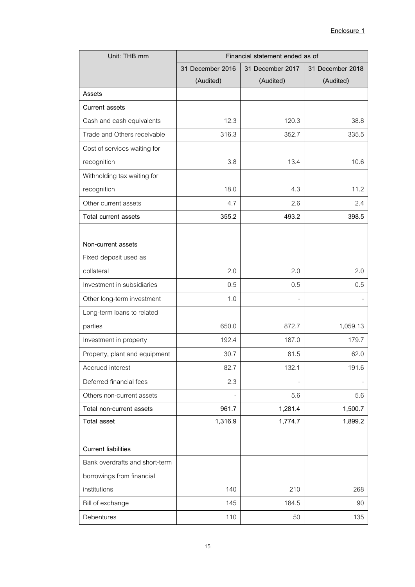| Unit: THB mm                   | Financial statement ended as of |                  |                  |  |
|--------------------------------|---------------------------------|------------------|------------------|--|
|                                | 31 December 2016                | 31 December 2017 | 31 December 2018 |  |
|                                | (Audited)                       | (Audited)        | (Audited)        |  |
| Assets                         |                                 |                  |                  |  |
| <b>Current assets</b>          |                                 |                  |                  |  |
| Cash and cash equivalents      | 12.3                            | 120.3            | 38.8             |  |
| Trade and Others receivable    | 316.3                           | 352.7            | 335.5            |  |
| Cost of services waiting for   |                                 |                  |                  |  |
| recognition                    | 3.8                             | 13.4             | 10.6             |  |
| Withholding tax waiting for    |                                 |                  |                  |  |
| recognition                    | 18.0                            | 4.3              | 11.2             |  |
| Other current assets           | 4.7                             | 2.6              | 2.4              |  |
| Total current assets           | 355.2                           | 493.2            | 398.5            |  |
|                                |                                 |                  |                  |  |
| Non-current assets             |                                 |                  |                  |  |
| Fixed deposit used as          |                                 |                  |                  |  |
| collateral                     | 2.0                             | 2.0              | 2.0              |  |
| Investment in subsidiaries     | 0.5                             | 0.5              | 0.5              |  |
| Other long-term investment     | 1.0                             |                  |                  |  |
| Long-term loans to related     |                                 |                  |                  |  |
| parties                        | 650.0                           | 872.7            | 1,059.13         |  |
| Investment in property         | 192.4                           | 187.0            | 179.7            |  |
| Property, plant and equipment  | 30.7                            | 81.5             | 62.0             |  |
| Accrued interest               | 82.7                            | 132.1            | 191.6            |  |
| Deferred financial fees        | 2.3                             |                  |                  |  |
| Others non-current assets      |                                 | 5.6              | 5.6              |  |
| Total non-current assets       | 961.7                           | 1,281.4          | 1,500.7          |  |
| <b>Total asset</b>             | 1,316.9                         | 1,774.7          | 1,899.2          |  |
|                                |                                 |                  |                  |  |
| <b>Current liabilities</b>     |                                 |                  |                  |  |
| Bank overdrafts and short-term |                                 |                  |                  |  |
| borrowings from financial      |                                 |                  |                  |  |
| institutions                   | 140                             | 210              | 268              |  |
| Bill of exchange               | 145                             | 184.5            | 90               |  |
| Debentures                     | 110                             | 50               | 135              |  |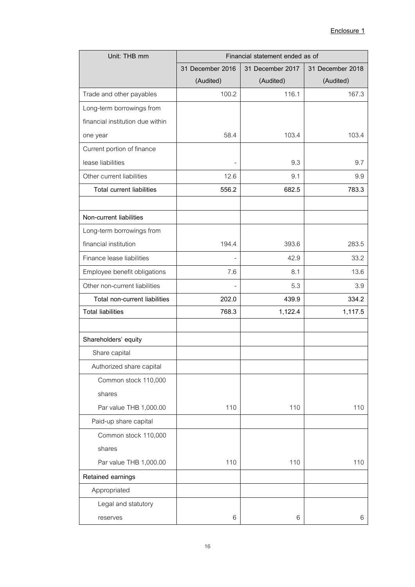| Unit: THB mm                     | Financial statement ended as of |                  |                  |  |
|----------------------------------|---------------------------------|------------------|------------------|--|
|                                  | 31 December 2016                | 31 December 2017 | 31 December 2018 |  |
|                                  | (Audited)                       | (Audited)        | (Audited)        |  |
| Trade and other payables         | 100.2                           | 116.1            | 167.3            |  |
| Long-term borrowings from        |                                 |                  |                  |  |
| financial institution due within |                                 |                  |                  |  |
| one year                         | 58.4                            | 103.4            | 103.4            |  |
| Current portion of finance       |                                 |                  |                  |  |
| lease liabilities                | $\overline{\phantom{a}}$        | 9.3              | 9.7              |  |
| Other current liabilities        | 12.6                            | 9.1              | 9.9              |  |
| <b>Total current liabilities</b> | 556.2                           | 682.5            | 783.3            |  |
|                                  |                                 |                  |                  |  |
| Non-current liabilities          |                                 |                  |                  |  |
| Long-term borrowings from        |                                 |                  |                  |  |
| financial institution            | 194.4                           | 393.6            | 283.5            |  |
| Finance lease liabilities        |                                 | 42.9             | 33.2             |  |
| Employee benefit obligations     | 7.6                             | 8.1              | 13.6             |  |
| Other non-current liabilities    | $\overline{\phantom{a}}$        | 5.3              | 3.9              |  |
| Total non-current liabilities    | 202.0                           | 439.9            | 334.2            |  |
| <b>Total liabilities</b>         | 768.3                           | 1,122.4          | 1,117.5          |  |
|                                  |                                 |                  |                  |  |
| Shareholders' equity             |                                 |                  |                  |  |
| Share capital                    |                                 |                  |                  |  |
| Authorized share capital         |                                 |                  |                  |  |
| Common stock 110,000             |                                 |                  |                  |  |
| shares                           |                                 |                  |                  |  |
| Par value THB 1,000.00           | 110                             | 110              | 110              |  |
| Paid-up share capital            |                                 |                  |                  |  |
| Common stock 110,000             |                                 |                  |                  |  |
| shares                           |                                 |                  |                  |  |
| Par value THB 1,000.00           | 110                             | 110              | 110              |  |
| Retained earnings                |                                 |                  |                  |  |
| Appropriated                     |                                 |                  |                  |  |
| Legal and statutory              |                                 |                  |                  |  |
| reserves                         | 6                               | 6                | 6                |  |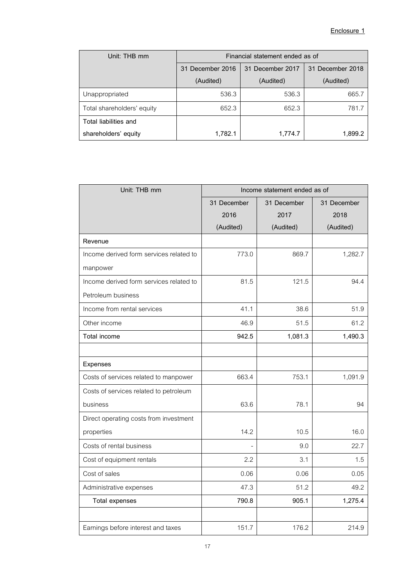| Unit: THB mm               | Financial statement ended as of      |           |                  |  |
|----------------------------|--------------------------------------|-----------|------------------|--|
|                            | 31 December 2017<br>31 December 2016 |           | 31 December 2018 |  |
|                            | (Audited)                            | (Audited) | (Audited)        |  |
| Unappropriated             | 536.3                                | 536.3     | 665.7            |  |
| Total shareholders' equity | 652.3                                | 652.3     | 781.7            |  |
| Total liabilities and      |                                      |           |                  |  |
| shareholders' equity       | 1,782.1                              | 1,774.7   | 1.899.2          |  |

| Unit: THB mm                            | Income statement ended as of |             |             |  |
|-----------------------------------------|------------------------------|-------------|-------------|--|
|                                         | 31 December                  | 31 December | 31 December |  |
|                                         | 2016                         | 2017        | 2018        |  |
|                                         | (Audited)                    | (Audited)   | (Audited)   |  |
| Revenue                                 |                              |             |             |  |
| Income derived form services related to | 773.0                        | 869.7       | 1,282.7     |  |
| manpower                                |                              |             |             |  |
| Income derived form services related to | 81.5                         | 121.5       | 94.4        |  |
| Petroleum business                      |                              |             |             |  |
| Income from rental services             | 41.1                         | 38.6        | 51.9        |  |
| Other income                            | 46.9                         | 51.5        | 61.2        |  |
| Total income                            | 942.5                        | 1,081.3     | 1,490.3     |  |
|                                         |                              |             |             |  |
| Expenses                                |                              |             |             |  |
| Costs of services related to manpower   | 663.4                        | 753.1       | 1,091.9     |  |
| Costs of services related to petroleum  |                              |             |             |  |
| business                                | 63.6                         | 78.1        | 94          |  |
| Direct operating costs from investment  |                              |             |             |  |
| properties                              | 14.2                         | 10.5        | 16.0        |  |
| Costs of rental business                |                              | 9.0         | 22.7        |  |
| Cost of equipment rentals               | 2.2                          | 3.1         | 1.5         |  |
| Cost of sales                           | 0.06                         | 0.06        | 0.05        |  |
| Administrative expenses                 | 47.3                         | 51.2        | 49.2        |  |
| <b>Total expenses</b>                   | 790.8                        | 905.1       | 1,275.4     |  |
|                                         |                              |             |             |  |
| Earnings before interest and taxes      | 151.7                        | 176.2       | 214.9       |  |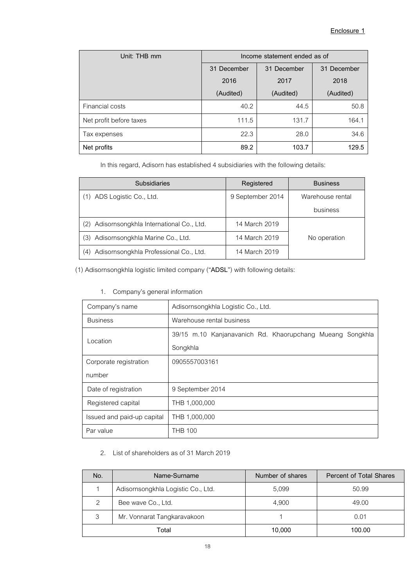| Unit: THB mm            | Income statement ended as of |           |             |
|-------------------------|------------------------------|-----------|-------------|
|                         | 31 December<br>31 December   |           | 31 December |
|                         | 2016                         | 2017      | 2018        |
|                         | (Audited)                    | (Audited) | (Audited)   |
| Financial costs         | 40.2                         | 44.5      | 50.8        |
| Net profit before taxes | 111.5                        | 131.7     | 164.1       |
| Tax expenses            | 22.3                         | 28.0      | 34.6        |
| Net profits             | 89.2                         | 103.7     | 129.5       |

In this regard, Adisorn has established 4 subsidiaries with the following details:

| <b>Subsidiaries</b>                                         | Registered       | <b>Business</b>  |
|-------------------------------------------------------------|------------------|------------------|
| ADS Logistic Co., Ltd.<br>(1)                               | 9 September 2014 | Warehouse rental |
|                                                             |                  | business         |
| Adisornsongkhla International Co., Ltd.<br>(2)              | 14 March 2019    |                  |
| Adisornsongkhla Marine Co., Ltd.<br>3)                      | 14 March 2019    | No operation     |
| Adisornsongkhla Professional Co., Ltd.<br>$\left( 4\right)$ | 14 March 2019    |                  |

(1) Adisornsongkhla logistic limited company ("ADSL") with following details:

1. Company's general information

| Company's name             | Adisornsongkhla Logistic Co., Ltd.                        |  |  |
|----------------------------|-----------------------------------------------------------|--|--|
| <b>Business</b>            | Warehouse rental business                                 |  |  |
| Location                   | 39/15 m.10 Kanjanavanich Rd. Khaorupchang Mueang Songkhla |  |  |
|                            | Songkhla                                                  |  |  |
| Corporate registration     | 0905557003161                                             |  |  |
| number                     |                                                           |  |  |
| Date of registration       | 9 September 2014                                          |  |  |
| Registered capital         | THB 1,000,000                                             |  |  |
| Issued and paid-up capital | THB 1,000,000                                             |  |  |
| Par value                  | <b>THB 100</b>                                            |  |  |

2. List of shareholders as of 31 March 2019

| No.           | Name-Surname                       | Number of shares | <b>Percent of Total Shares</b> |
|---------------|------------------------------------|------------------|--------------------------------|
|               | Adisornsongkhla Logistic Co., Ltd. | 5,099            | 50.99                          |
| $\mathcal{P}$ | Bee wave Co., Ltd.                 | 4.900            | 49.00                          |
| 3             | Mr. Vonnarat Tangkaravakoon        |                  | 0.01                           |
| Total         |                                    | 10.000           | 100.00                         |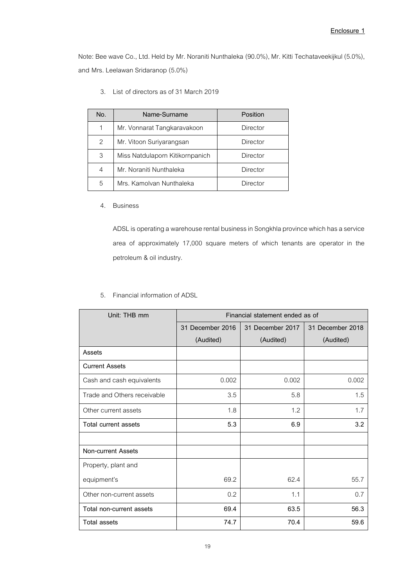Note: Bee wave Co., Ltd. Held by Mr. Noraniti Nunthaleka (90.0%), Mr. Kitti Techataveekijkul (5.0%), and Mrs. Leelawan Sridaranop (5.0%)

| No. | Name-Surname                    | Position        |
|-----|---------------------------------|-----------------|
| 1   | Mr. Vonnarat Tangkaravakoon     | Director        |
| 2   | Mr. Vitoon Suriyarangsan        | <b>Director</b> |
| 3   | Miss Natdulaporn Kitikornpanich | <b>Director</b> |
| 4   | Mr. Noraniti Nunthaleka         | Director        |
| 5   | Mrs. Kamolvan Nunthaleka        | Director        |

3. List of directors as of 31 March 2019

#### 4. Business

ADSL is operating a warehouse rental business in Songkhla province which has a service area of approximately 17,000 square meters of which tenants are operator in the petroleum & oil industry.

|  | 5. Financial information of ADSL |  |
|--|----------------------------------|--|
|  |                                  |  |

| Unit: THB mm                | Financial statement ended as of |                  |                  |  |
|-----------------------------|---------------------------------|------------------|------------------|--|
|                             | 31 December 2016                | 31 December 2017 | 31 December 2018 |  |
|                             | (Audited)                       | (Audited)        | (Audited)        |  |
| Assets                      |                                 |                  |                  |  |
| <b>Current Assets</b>       |                                 |                  |                  |  |
| Cash and cash equivalents   | 0.002                           | 0.002            | 0.002            |  |
| Trade and Others receivable | 3.5                             | 5.8              | 1.5              |  |
| Other current assets        | 1.8                             | 1.2              | 1.7              |  |
| Total current assets        | 5.3                             | 6.9              | 3.2              |  |
|                             |                                 |                  |                  |  |
| <b>Non-current Assets</b>   |                                 |                  |                  |  |
| Property, plant and         |                                 |                  |                  |  |
| equipment's                 | 69.2                            | 62.4             | 55.7             |  |
| Other non-current assets    | 0.2                             | 1.1              | 0.7              |  |
| Total non-current assets    | 69.4                            | 63.5             | 56.3             |  |
| Total assets                | 74.7                            | 70.4             | 59.6             |  |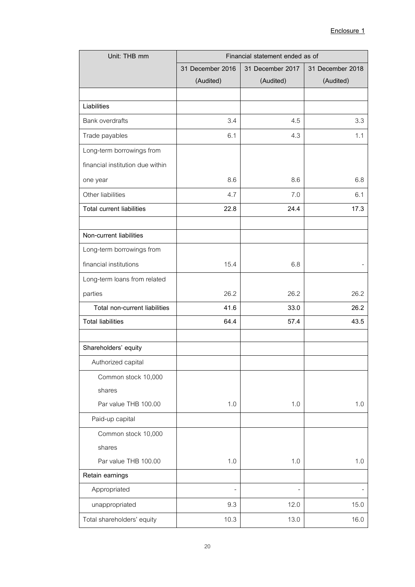| Unit: THB mm                     | Financial statement ended as of |                  |                  |
|----------------------------------|---------------------------------|------------------|------------------|
|                                  | 31 December 2016                | 31 December 2017 | 31 December 2018 |
|                                  | (Audited)                       | (Audited)        | (Audited)        |
|                                  |                                 |                  |                  |
| Liabilities                      |                                 |                  |                  |
| <b>Bank overdrafts</b>           | 3.4                             | 4.5              | 3.3              |
| Trade payables                   | 6.1                             | 4.3              | 1.1              |
| Long-term borrowings from        |                                 |                  |                  |
| financial institution due within |                                 |                  |                  |
| one year                         | 8.6                             | 8.6              | 6.8              |
| Other liabilities                | 4.7                             | 7.0              | 6.1              |
| <b>Total current liabilities</b> | 22.8                            | 24.4             | 17.3             |
|                                  |                                 |                  |                  |
| Non-current liabilities          |                                 |                  |                  |
| Long-term borrowings from        |                                 |                  |                  |
| financial institutions           | 15.4                            | 6.8              |                  |
| Long-term loans from related     |                                 |                  |                  |
| parties                          | 26.2                            | 26.2             | 26.2             |
| Total non-current liabilities    | 41.6                            | 33.0             | 26.2             |
| <b>Total liabilities</b>         | 64.4                            | 57.4             | 43.5             |
|                                  |                                 |                  |                  |
| Shareholders' equity             |                                 |                  |                  |
| Authorized capital               |                                 |                  |                  |
| Common stock 10,000              |                                 |                  |                  |
| shares                           |                                 |                  |                  |
| Par value THB 100.00             | 1.0                             | 1.0              | 1.0              |
| Paid-up capital                  |                                 |                  |                  |
| Common stock 10,000              |                                 |                  |                  |
| shares                           |                                 |                  |                  |
| Par value THB 100.00             | 1.0                             | 1.0              | 1.0              |
| Retain earnings                  |                                 |                  |                  |
| Appropriated                     | $\frac{1}{2}$                   |                  |                  |
| unappropriated                   | 9.3                             | 12.0             | 15.0             |
| Total shareholders' equity       | 10.3                            | 13.0             | 16.0             |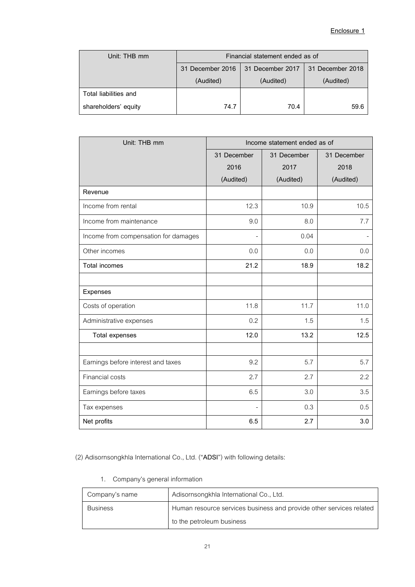| Unit: THB mm          | Financial statement ended as of      |           |                  |
|-----------------------|--------------------------------------|-----------|------------------|
|                       | 31 December 2016<br>31 December 2017 |           | 31 December 2018 |
|                       | (Audited)                            | (Audited) | (Audited)        |
| Total liabilities and |                                      |           |                  |
| shareholders' equity  | 74.7                                 | 70.4      | 59.6             |

| Unit: THB mm                         | Income statement ended as of |             |             |
|--------------------------------------|------------------------------|-------------|-------------|
|                                      | 31 December                  | 31 December | 31 December |
|                                      | 2016                         | 2017        | 2018        |
|                                      | (Audited)                    | (Audited)   | (Audited)   |
| Revenue                              |                              |             |             |
| Income from rental                   | 12.3                         | 10.9        | 10.5        |
| Income from maintenance              | 9.0                          | 8.0         | 7.7         |
| Income from compensation for damages |                              | 0.04        |             |
| Other incomes                        | 0.0                          | 0.0         | 0.0         |
| <b>Total incomes</b>                 | 21.2                         | 18.9        | 18.2        |
|                                      |                              |             |             |
| Expenses                             |                              |             |             |
| Costs of operation                   | 11.8                         | 11.7        | 11.0        |
| Administrative expenses              | 0.2                          | 1.5         | 1.5         |
| <b>Total expenses</b>                | 12.0                         | 13.2        | 12.5        |
|                                      |                              |             |             |
| Earnings before interest and taxes   | 9.2                          | 5.7         | 5.7         |
| Financial costs                      | 2.7                          | 2.7         | 2.2         |
| Earnings before taxes                | 6.5                          | 3.0         | 3.5         |
| Tax expenses                         |                              | 0.3         | 0.5         |
| Net profits                          | 6.5                          | 2.7         | 3.0         |

(2) Adisornsongkhla International Co., Ltd. ("ADSI") with following details:

1. Company's general information

| Company's name  | Adisornsongkhla International Co., Ltd.                             |
|-----------------|---------------------------------------------------------------------|
| <b>Business</b> | Human resource services business and provide other services related |
|                 | to the petroleum business                                           |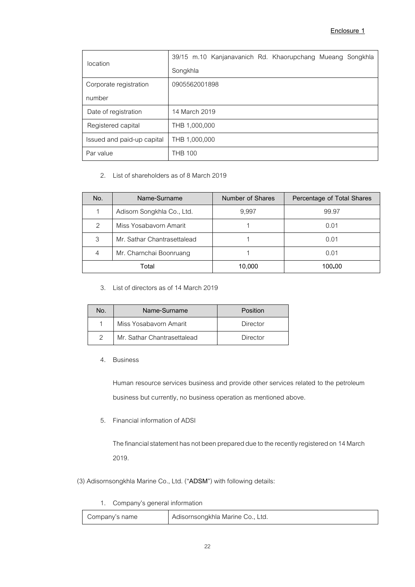| location                   | 39/15 m.10 Kanjanavanich Rd. Khaorupchang Mueang Songkhla |
|----------------------------|-----------------------------------------------------------|
|                            | Songkhla                                                  |
| Corporate registration     | 0905562001898                                             |
| number                     |                                                           |
| Date of registration       | 14 March 2019                                             |
| Registered capital         | THB 1,000,000                                             |
| Issued and paid-up capital | THB 1,000,000                                             |
| Par value                  | <b>THB 100</b>                                            |

2. List of shareholders as of 8 March 2019

| No.           | Name-Surname                | Number of Shares | Percentage of Total Shares |
|---------------|-----------------------------|------------------|----------------------------|
|               | Adisorn Songkhla Co., Ltd.  | 9,997            | 99.97                      |
| $\mathcal{P}$ | Miss Yosabayorn Amarit      |                  | 0.01                       |
| 3             | Mr. Sathar Chantrasettalead |                  | 0.01                       |
| 4             | Mr. Charnchai Boonruang     |                  | 0.01                       |
|               | Total                       | 10,000           | 100.00                     |

3. List of directors as of 14 March 2019

| No. | Name-Surname                | Position |
|-----|-----------------------------|----------|
|     | Miss Yosabayorn Amarit      | Director |
| 2   | Mr. Sathar Chantrasettalead | Director |

4. Business

Human resource services business and provide other services related to the petroleum business but currently, no business operation as mentioned above.

5. Financial information of ADSI

The financial statement has not been prepared due to the recently registered on 14March 2019.

- (3) Adisornsongkhla Marine Co., Ltd. ("ADSM") with following details:
	- 1. Company's general information

Company's name Adisornsongkhla Marine Co., Ltd.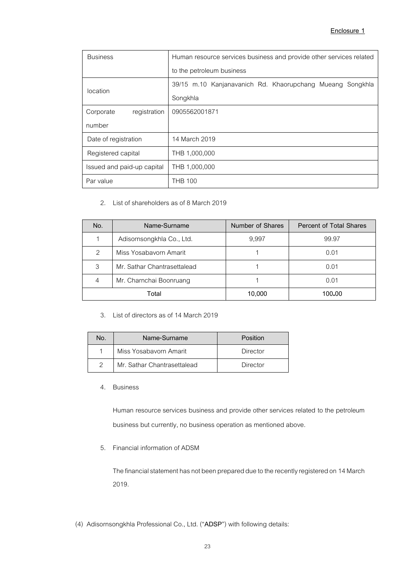# **Enclosure 1**

| <b>Business</b>            | Human resource services business and provide other services related |  |  |  |
|----------------------------|---------------------------------------------------------------------|--|--|--|
|                            | to the petroleum business                                           |  |  |  |
| location                   | 39/15 m.10 Kanjanavanich Rd. Khaorupchang Mueang<br>Songkhla        |  |  |  |
|                            | Songkhla                                                            |  |  |  |
| registration<br>Corporate  | 0905562001871                                                       |  |  |  |
| number                     |                                                                     |  |  |  |
| Date of registration       | 14 March 2019                                                       |  |  |  |
| Registered capital         | THB 1,000,000                                                       |  |  |  |
| Issued and paid-up capital | THB 1,000,000                                                       |  |  |  |
| Par value                  | <b>THB 100</b>                                                      |  |  |  |

# 2. List of shareholders as of 8 March 2019

| No.           | Name-Surname                | Number of Shares | <b>Percent of Total Shares</b> |
|---------------|-----------------------------|------------------|--------------------------------|
|               | Adisornsongkhla Co., Ltd.   | 9,997            | 99.97                          |
| $\mathcal{P}$ | Miss Yosabayorn Amarit      |                  | 0.01                           |
| 3             | Mr. Sathar Chantrasettalead |                  | 0.01                           |
| 4             | Mr. Charnchai Boonruang     |                  | 0.01                           |
| Total         |                             | 10,000           | 100.00                         |

### 3. List of directors as of 14 March 2019

| No. | Name-Surname                | Position |
|-----|-----------------------------|----------|
|     | Miss Yosabayorn Amarit      | Director |
| 2   | Mr. Sathar Chantrasettalead | Director |

### 4. Business

Human resource services business and provide other services related to the petroleum business but currently, no business operation as mentioned above.

### 5. Financial information of ADSM

The financial statement has not been prepared due to the recently registered on 14March 2019.

(4) Adisornsongkhla Professional Co., Ltd. ("**ADSP**") with following details: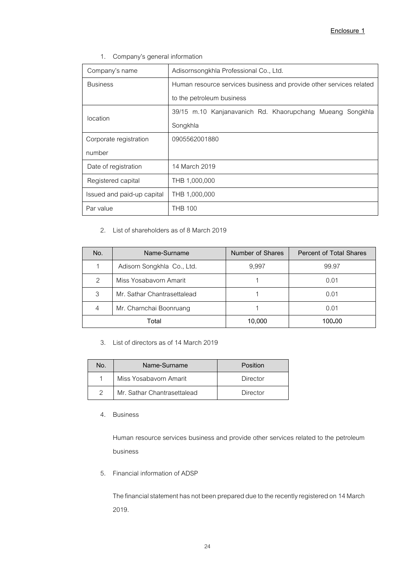1. Company's general information

| Company's name             | Adisornsongkhla Professional Co., Ltd.                              |  |  |  |  |
|----------------------------|---------------------------------------------------------------------|--|--|--|--|
| <b>Business</b>            | Human resource services business and provide other services related |  |  |  |  |
| to the petroleum business  |                                                                     |  |  |  |  |
| location                   | 39/15 m.10 Kanjanavanich Rd. Khaorupchang Mueang Songkhla           |  |  |  |  |
|                            | Songkhla                                                            |  |  |  |  |
| Corporate registration     | 0905562001880                                                       |  |  |  |  |
| number                     |                                                                     |  |  |  |  |
| Date of registration       | 14 March 2019                                                       |  |  |  |  |
| Registered capital         | THB 1,000,000                                                       |  |  |  |  |
| Issued and paid-up capital | THB 1,000,000                                                       |  |  |  |  |
| Par value                  | <b>THB 100</b>                                                      |  |  |  |  |

2. List of shareholders as of 8 March 2019

| No.           | Name-Surname                | Number of Shares | Percent of Total Shares |
|---------------|-----------------------------|------------------|-------------------------|
|               | Adisorn Songkhla Co., Ltd.  | 9,997            | 99.97                   |
| $\mathcal{P}$ | Miss Yosabavorn Amarit      |                  | 0.01                    |
| 3             | Mr. Sathar Chantrasettalead |                  | 0.01                    |
| 4             | Mr. Charnchai Boonruang     |                  | 0.01                    |
| Total         |                             | 10,000           | 100.00                  |

3. List of directors as of 14 March 2019

| No. | Name-Surname                | Position |
|-----|-----------------------------|----------|
|     | Miss Yosabayorn Amarit      | Director |
|     | Mr. Sathar Chantrasettalead | Director |

4. Business

Human resource services business and provide other services related to the petroleum business

5. Financial information of ADSP

The financial statement has not been prepared due to the recently registered on 14March 2019.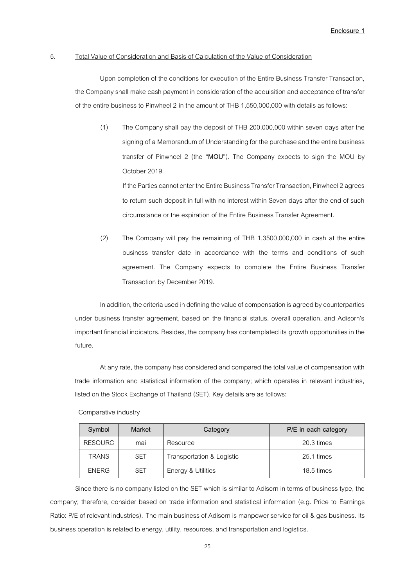#### 5. Total Value of Consideration and Basis of Calculation of the Value of Consideration

Upon completion of the conditions for execution of the Entire Business Transfer Transaction, the Company shall make cash payment in consideration of the acquisition and acceptance of transfer of the entire business to Pinwheel 2 in the amount of THB 1,550,000,000 with details as follows:

(1) The Company shall pay the deposit of THB 200,000,000 within seven days after the signing of a Memorandum of Understanding for the purchase and the entire business transfer of Pinwheel 2 (the "**MOU**"). The Company expects to sign the MOU by October 2019.

If the Parties cannot enter the Entire Business Transfer Transaction, Pinwheel 2 agrees to return such deposit in full with no interest within Seven days after the end of such circumstance or the expiration of the Entire Business Transfer Agreement.

(2) The Company will pay the remaining of THB 1,3500,000,000 in cash at the entire business transfer date in accordance with the terms and conditions of such agreement. The Company expects to complete the Entire Business Transfer Transaction by December 2019.

In addition, the criteria used in defining the value of compensation is agreed by counterparties under business transfer agreement, based on the financial status, overall operation, and Adisorn's important financial indicators. Besides, the company has contemplated its growth opportunities in the future.

At any rate, the company has considered and compared the total value of compensation with trade information and statistical information of the company; which operates in relevant industries, listed on the Stock Exchange of Thailand (SET). Key details are as follows:

| Symbol         | Market     | Category                  | P/E in each category |
|----------------|------------|---------------------------|----------------------|
| <b>RESOURC</b> | mai        | Resource                  | 20.3 times           |
| <b>TRANS</b>   | <b>SET</b> | Transportation & Logistic | 25.1 times           |
| <b>ENERG</b>   | <b>SET</b> | Energy & Utilities        | 18.5 times           |

Comparative industry

Since there is no company listed on the SET which is similar to Adisorn in terms of business type, the company; therefore, consider based on trade information and statistical information (e.g. Price to Earnings Ratio: P/E of relevant industries). The main business of Adisorn is manpower service for oil & gas business. Its business operation is related to energy, utility, resources, and transportation and logistics.

25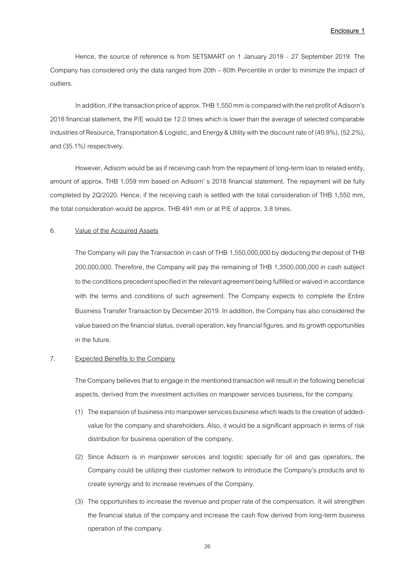Hence, the source of reference is from SETSMART on 1 January 2019 – 27 September 2019. The Company has considered only the data ranged from 20th – 80th Percentile in order to minimize the impact of outliers.

In addition, if the transaction price of approx. THB 1,550mm is compared with the net profit of Adisorn's 2018 financial statement, the P/E would be 12.0 times which is lower than the average of selected comparable industries of Resource, Transportation & Logistic, and Energy & Utility with the discount rate of (40.9%), (52.2%), and (35.1%) respectively.

However, Adisorn would be as if receiving cash from the repayment of long-term loan to related entity, amount of approx. THB 1,059 mm based on Adisorn' s 2018 financial statement. The repayment will be fully completed by 2Q/2020. Hence, if the receiving cash is settled with the total consideration of THB 1,550 mm, the total consideration would be approx. THB 491 mm or at P/E of approx. 3.8 times.

#### 6. Value of the Acquired Assets

The Company will pay the Transaction in cash of THB 1,550,000,000 by deducting the deposit of THB 200,000,000. Therefore, the Company will pay the remaining of THB 1,3500,000,000 in cash subject to the conditions precedent specified in the relevant agreement being fulfilled or waived in accordance with the terms and conditions of such agreement. The Company expects to complete the Entire Business Transfer Transaction by December 2019. In addition, the Company has also considered the value based on the financial status, overall operation, key financial figures, and its growth opportunities in the future.

### 7. Expected Benefits to the Company

The Company believes that to engage in the mentioned transaction will result in the following beneficial aspects, derived from the investment activities on manpower services business, for the company.

- (1) The expansion of business into manpower services business which leads to the creation of addedvalue for the company and shareholders. Also, it would be a significant approach in terms of risk distribution for business operation of the company.
- (2) Since Adisorn is in manpower services and logistic specially for oil and gas operators, the Company could be utilizing their customer network to introduce the Company's products and to create synergy and to increase revenues of the Company.
- (3) The opportunities to increase the revenue and proper rate of the compensation. It will strengthen the financial status of the company and increase the cash flow derived from long-term business operation of the company.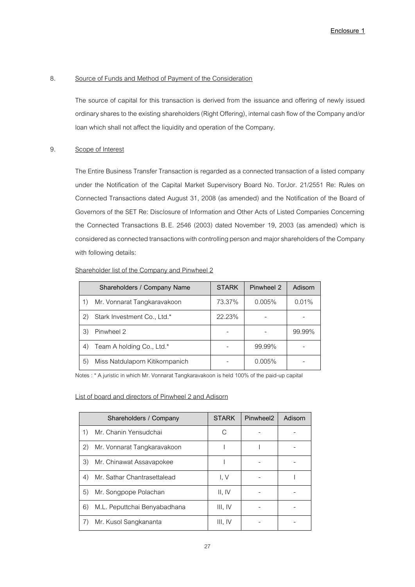#### 8. Source of Funds and Method of Payment of the Consideration

The source of capital for this transaction is derived from the issuance and offering of newly issued ordinary shares to the existing shareholders (Right Offering), internal cash flow of the Companyand/or loan which shall not affect the liquidity and operation of the Company.

### 9. Scope of Interest

The Entire Business Transfer Transaction is regarded as a connected transaction of a listed company under the Notification of the Capital Market Supervisory Board No. TorJor. 21/2551 Re: Rules on Connected Transactions dated August 31, 2008 (as amended) and the Notification of the Board of Governors of the SET Re: Disclosure of Information and Other Acts of Listed Companies Concerning the Connected Transactions B. E. 2546 (2003) dated November 19, 2003 (as amended) which is considered as connected transactions with controlling person and major shareholders of the Company with following details:

#### Shareholder list of the Company and Pinwheel 2

| Shareholders / Company Name           | <b>STARK</b> | Pinwheel 2 | Adisorn |
|---------------------------------------|--------------|------------|---------|
| Mr. Vonnarat Tangkaravakoon<br>1)     | 73.37%       | 0.005%     | 0.01%   |
| Stark Investment Co., Ltd.*<br>2)     | 22.23%       |            |         |
| Pinwheel 2<br>3)                      |              |            | 99.99%  |
| Team A holding Co., Ltd.*<br>4)       |              | 99.99%     |         |
| 5)<br>Miss Natdulaporn Kitikornpanich |              | 0.005%     |         |

Notes : \* A juristic in which Mr. Vonnarat Tangkaravakoon is held 100% of the paid-up capital

### List of board and directors of Pinwheel 2 and Adisorn

|    | Shareholders / Company       | <b>STARK</b> | Pinwheel <sub>2</sub> | Adisorn |
|----|------------------------------|--------------|-----------------------|---------|
| 1) | Mr. Chanin Yensudchai        |              |                       |         |
| 2) | Mr. Vonnarat Tangkaravakoon  |              |                       |         |
| 3) | Mr. Chinawat Assavapokee     |              |                       |         |
| 4) | Mr. Sathar Chantrasettalead  | I. V         |                       |         |
| 5) | Mr. Songpope Polachan        | II, IV       |                       |         |
| 6) | M.L. Peputtchai Benyabadhana | III. IV      |                       |         |
| 7) | Mr. Kusol Sangkananta        | III. IV      |                       |         |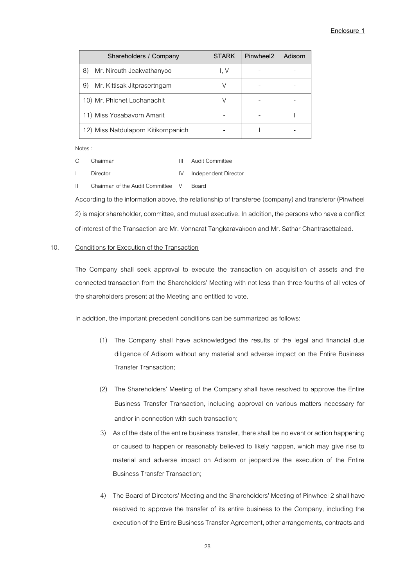| Shareholders / Company              | <b>STARK</b> | Pinwheel <sub>2</sub> | Adisorn |
|-------------------------------------|--------------|-----------------------|---------|
| 8)<br>Mr. Nirouth Jeakvathanyoo     | I. V         |                       |         |
| Mr. Kittisak Jitprasertngam<br>9)   |              |                       |         |
| 10) Mr. Phichet Lochanachit         |              |                       |         |
| 11) Miss Yosabavorn Amarit          |              |                       |         |
| 12) Miss Natdulaporn Kitikornpanich |              |                       |         |

Notes :

C Chairman **III** Audit Committee

I Director IV Independent Director

II Chairman of the Audit Committee V Board According to the information above, the relationship of transferee (company) and transferor (Pinwheel 2) is major shareholder, committee, and mutual executive. In addition, the persons who have a conflict of interestof the Transaction are Mr. Vonnarat Tangkaravakoon and Mr. Sathar Chantrasettalead.

### 10. Conditions for Execution of the Transaction

The Company shall seek approval to execute the transaction on acquisition of assets and the connected transaction from the Shareholders' Meeting with not less than three-fourths of all votes of the shareholders present at the Meeting and entitled to vote.

In addition, the important precedent conditions can be summarized as follows:

- (1) The Company shall have acknowledged the results of the legal and financial due diligence of Adisorn without any material and adverse impact on the Entire Business Transfer Transaction;
- (2) The Shareholders' Meeting of the Company shall have resolved to approve the Entire Business Transfer Transaction, including approval on various matters necessary for and/or in connection with such transaction;
- 3) As of the date of the entire business transfer, there shall be no event or action happening or caused to happen or reasonably believed to likely happen, which may give rise to material and adverse impact on Adisorn or jeopardize the execution of the Entire Business Transfer Transaction;
- 4) The Board of Directors' Meeting and the Shareholders' Meeting of Pinwheel 2 shall have resolved to approve the transfer of its entire business to the Company, including the execution of the Entire Business Transfer Agreement, other arrangements, contracts and